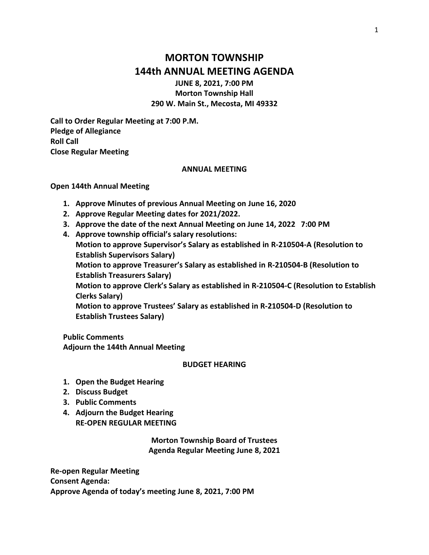# **MORTON TOWNSHIP 144th ANNUAL MEETING AGENDA**

**JUNE 8, 2021, 7:00 PM Morton Township Hall 290 W. Main St., Mecosta, MI 49332**

**Call to Order Regular Meeting at 7:00 P.M. Pledge of Allegiance Roll Call Close Regular Meeting**

#### **ANNUAL MEETING**

#### **Open 144th Annual Meeting**

- **1. Approve Minutes of previous Annual Meeting on June 16, 2020**
- **2. Approve Regular Meeting dates for 2021/2022.**
- **3. Approve the date of the next Annual Meeting on June 14, 2022 7:00 PM**
- **4. Approve township official's salary resolutions:**

**Motion to approve Supervisor's Salary as established in R-210504-A (Resolution to Establish Supervisors Salary)**

**Motion to approve Treasurer's Salary as established in R-210504-B (Resolution to Establish Treasurers Salary)**

**Motion to approve Clerk's Salary as established in R-210504-C (Resolution to Establish Clerks Salary)**

**Motion to approve Trustees' Salary as established in R-210504-D (Resolution to Establish Trustees Salary)**

**Public Comments Adjourn the 144th Annual Meeting**

#### **BUDGET HEARING**

- **1. Open the Budget Hearing**
- **2. Discuss Budget**
- **3. Public Comments**
- **4. Adjourn the Budget Hearing RE-OPEN REGULAR MEETING**

**Morton Township Board of Trustees Agenda Regular Meeting June 8, 2021**

**Re-open Regular Meeting Consent Agenda: Approve Agenda of today's meeting June 8, 2021, 7:00 PM**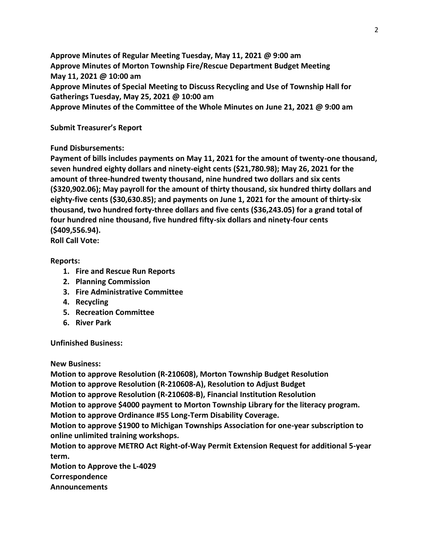**Approve Minutes of Regular Meeting Tuesday, May 11, 2021 @ 9:00 am Approve Minutes of Morton Township Fire/Rescue Department Budget Meeting May 11, 2021 @ 10:00 am Approve Minutes of Special Meeting to Discuss Recycling and Use of Township Hall for Gatherings Tuesday, May 25, 2021 @ 10:00 am Approve Minutes of the Committee of the Whole Minutes on June 21, 2021 @ 9:00 am**

**Submit Treasurer's Report**

### **Fund Disbursements:**

**Payment of bills includes payments on May 11, 2021 for the amount of twenty-one thousand, seven hundred eighty dollars and ninety-eight cents (\$21,780.98); May 26, 2021 for the amount of three-hundred twenty thousand, nine hundred two dollars and six cents (\$320,902.06); May payroll for the amount of thirty thousand, six hundred thirty dollars and eighty-five cents (\$30,630.85); and payments on June 1, 2021 for the amount of thirty-six thousand, two hundred forty-three dollars and five cents (\$36,243.05) for a grand total of four hundred nine thousand, five hundred fifty-six dollars and ninety-four cents (\$409,556.94).**

**Roll Call Vote:**

### **Reports:**

- **1. Fire and Rescue Run Reports**
- **2. Planning Commission**
- **3. Fire Administrative Committee**
- **4. Recycling**
- **5. Recreation Committee**
- **6. River Park**

**Unfinished Business:**

**New Business:** 

**Motion to approve Resolution (R-210608), Morton Township Budget Resolution Motion to approve Resolution (R-210608-A), Resolution to Adjust Budget Motion to approve Resolution (R-210608-B), Financial Institution Resolution Motion to approve \$4000 payment to Morton Township Library for the literacy program. Motion to approve Ordinance #55 Long-Term Disability Coverage. Motion to approve \$1900 to Michigan Townships Association for one-year subscription to online unlimited training workshops. Motion to approve METRO Act Right-of-Way Permit Extension Request for additional 5-year term. Motion to Approve the L-4029 Correspondence**

**Announcements**